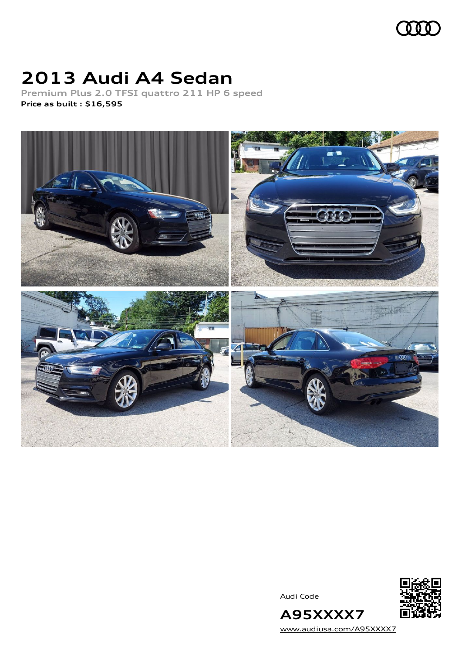

### **2013 Audi A4 Sedan**

**Premium Plus 2.0 TFSI quattro 211 HP 6 speed Price as built [:](#page-10-0) \$16,595**



Audi Code



[www.audiusa.com/A95XXXX7](https://www.audiusa.com/A95XXXX7)

**A95XXXX7**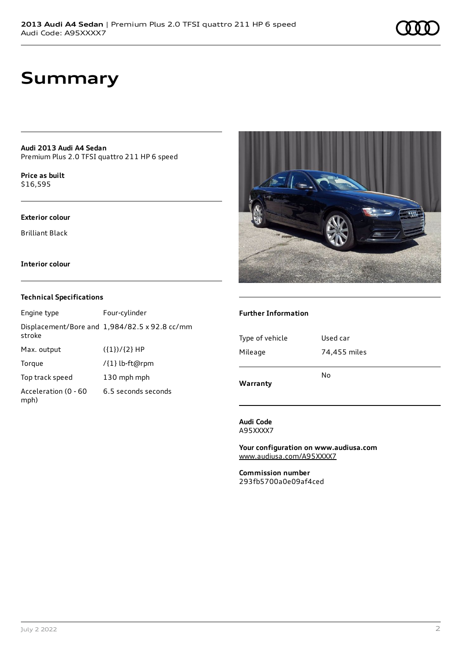### **Summary**

**Audi 2013 Audi A4 Sedan** Premium Plus 2.0 TFSI quattro 211 HP 6 speed

**Price as buil[t](#page-10-0)** \$16,595

#### **Exterior colour**

Brilliant Black

**Interior colour**

#### **Technical Specifications**

| Engine type                  | Four-cylinder                                 |
|------------------------------|-----------------------------------------------|
| stroke                       | Displacement/Bore and 1,984/82.5 x 92.8 cc/mm |
| Max. output                  | $({1})/{2}$ HP                                |
| Torque                       | /{1} lb-ft@rpm                                |
| Top track speed              | 130 mph mph                                   |
| Acceleration (0 - 60<br>mph) | 6.5 seconds seconds                           |



#### **Further Information**

| Warranty        | No           |
|-----------------|--------------|
| Mileage         | 74,455 miles |
| Type of vehicle | Used car     |
|                 |              |

**Audi Code** A95XXXX7

**Your configuration on www.audiusa.com** [www.audiusa.com/A95XXXX7](https://www.audiusa.com/A95XXXX7)

**Commission number** 293fb5700a0e09af4ced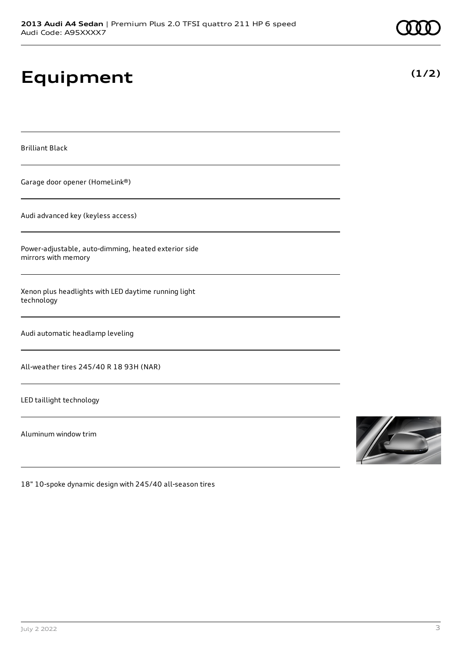# **Equipment**

Brilliant Black

Garage door opener (HomeLink®)

Audi advanced key (keyless access)

Power-adjustable, auto-dimming, heated exterior side mirrors with memory

Xenon plus headlights with LED daytime running light technology

Audi automatic headlamp leveling

All-weather tires 245/40 R 18 93H (NAR)

LED taillight technology

Aluminum window trim



18" 10-spoke dynamic design with 245/40 all-season tires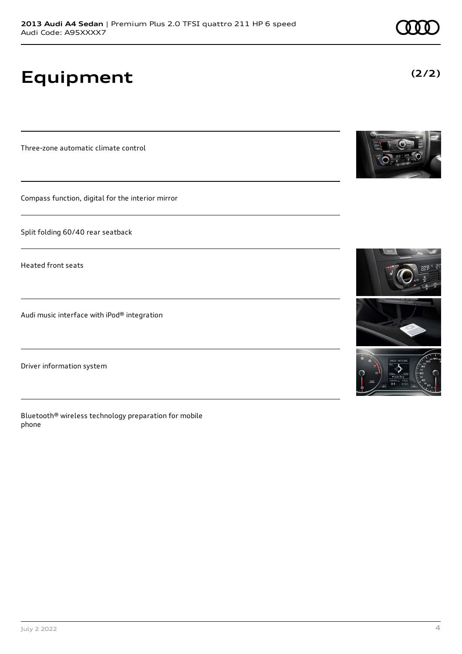**Equipment**

Three-zone automatic climate control

Compass function, digital for the interior mirror

Split folding 60/40 rear seatback

Heated front seats

Audi music interface with iPod® integration

Driver information system

Bluetooth® wireless technology preparation for mobile phone









**(2/2)**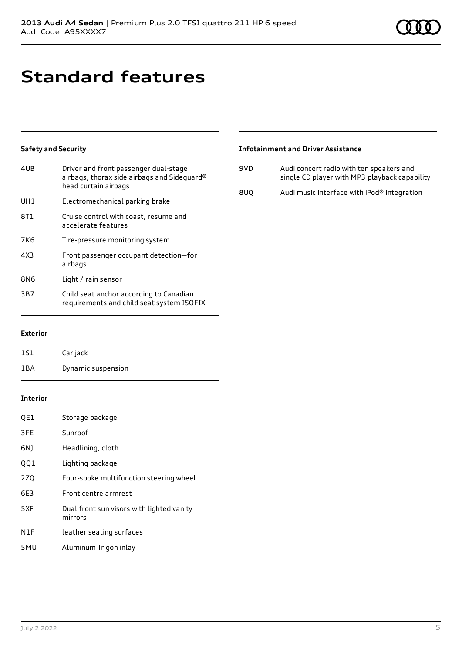# **Standard features**

### **Safety and Security**

| Driver and front passenger dual-stage<br>airbags, thorax side airbags and Sideguard®<br>head curtain airbags |
|--------------------------------------------------------------------------------------------------------------|
| Electromechanical parking brake                                                                              |
| Cruise control with coast, resume and<br>accelerate features                                                 |
| Tire-pressure monitoring system                                                                              |
| Front passenger occupant detection-for<br>airbags                                                            |
| Light / rain sensor                                                                                          |
| Child seat anchor according to Canadian<br>requirements and child seat system ISOFIX                         |
|                                                                                                              |

### **Infotainment and Driver Assistance**

| 9VD | Audi concert radio with ten speakers and<br>single CD player with MP3 playback capability |
|-----|-------------------------------------------------------------------------------------------|
| 8UO | Audi music interface with iPod® integration                                               |

**Exterior**

| 1S1 | Car jack           |
|-----|--------------------|
| 1BA | Dynamic suspension |

#### **Interior**

| QE1             | Storage package                                      |
|-----------------|------------------------------------------------------|
| 3FE             | Sunroof                                              |
| 6N)             | Headlining, cloth                                    |
| 001             | Lighting package                                     |
| 2Z <sub>0</sub> | Four-spoke multifunction steering wheel              |
| 6E3             | Front centre armrest                                 |
| 5XF             | Dual front sun visors with lighted vanity<br>mirrors |
| N1F             | leather seating surfaces                             |
| 5MU             | Aluminum Trigon inlay                                |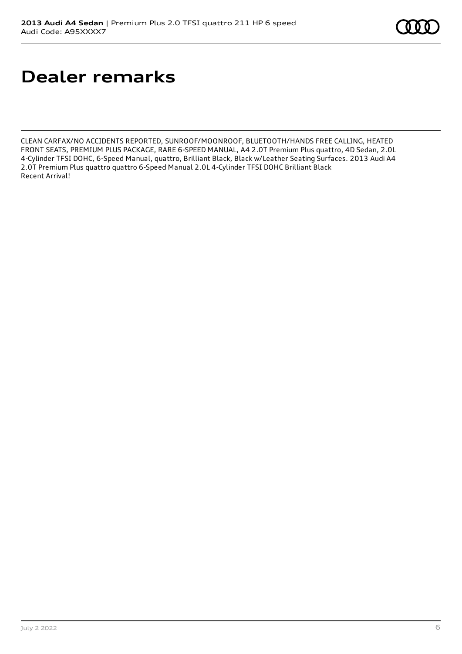# **Dealer remarks**

CLEAN CARFAX/NO ACCIDENTS REPORTED, SUNROOF/MOONROOF, BLUETOOTH/HANDS FREE CALLING, HEATED FRONT SEATS, PREMIUM PLUS PACKAGE, RARE 6-SPEED MANUAL, A4 2.0T Premium Plus quattro, 4D Sedan, 2.0L 4-Cylinder TFSI DOHC, 6-Speed Manual, quattro, Brilliant Black, Black w/Leather Seating Surfaces. 2013 Audi A4 2.0T Premium Plus quattro quattro 6-Speed Manual 2.0L 4-Cylinder TFSI DOHC Brilliant Black Recent Arrival!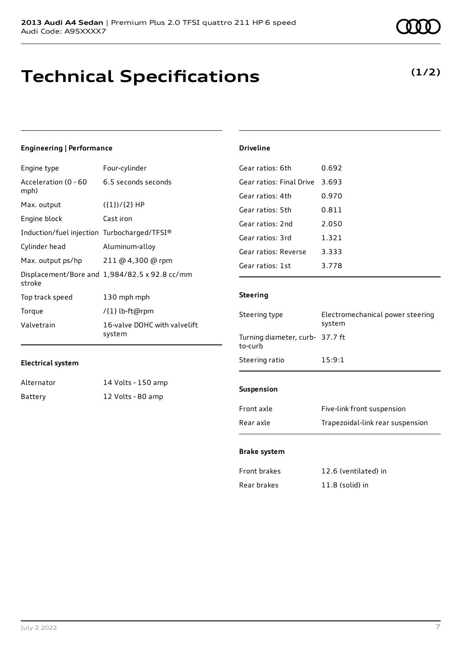### **Technical Specifications**

**(1/2)**

| <b>Engineering   Performance</b>            |                                               |  |
|---------------------------------------------|-----------------------------------------------|--|
| Engine type                                 | Four-cylinder                                 |  |
| Acceleration (0 - 60<br>mph)                | 6.5 seconds seconds                           |  |
| Max. output                                 | $({1})/{2}$ HP                                |  |
| Engine block                                | Cast iron                                     |  |
| Induction/fuel injection Turbocharged/TFSI® |                                               |  |
| Cylinder head                               | Aluminum-alloy                                |  |
| Max. output ps/hp                           | 211 @ 4,300 @ rpm                             |  |
| stroke                                      | Displacement/Bore and 1,984/82.5 x 92.8 cc/mm |  |
| Top track speed                             | 130 mph mph                                   |  |
| Torque                                      | /{1} lb-ft@rpm                                |  |
| Valvetrain                                  | 16-valve DOHC with valvelift<br>system        |  |

### **Electrical system**

| Alternator | 14 Volts - 150 amp |
|------------|--------------------|
| Battery    | 12 Volts - 80 amp  |

|  | Driveline |
|--|-----------|
|  |           |

| Gear ratios: 6th         | 0.692 |
|--------------------------|-------|
| Gear ratios: Final Drive | 3.693 |
| Gear ratios: 4th         | 0.970 |
| Gear ratios: 5th         | 0.811 |
| Gear ratios: 2nd         | 2.050 |
| Gear ratios: 3rd         | 1.321 |
| Gear ratios: Reverse     | 3.333 |
| Gear ratios: 1st         | 3.778 |

#### **Steering**

| Steering type                              | Electromechanical power steering<br>system |
|--------------------------------------------|--------------------------------------------|
| Turning diameter, curb- 37.7 ft<br>to-curb |                                            |
| Steering ratio                             | 15:9:1                                     |
|                                            |                                            |
| <b>Suspension</b>                          |                                            |
| Front axle                                 | Five-link front suspension                 |
| Rear axle                                  | Trapezoidal-link rear suspension           |
|                                            |                                            |

#### **Brake system**

| Front brakes | 12.6 (ventilated) in |
|--------------|----------------------|
| Rear brakes  | $11.8$ (solid) in    |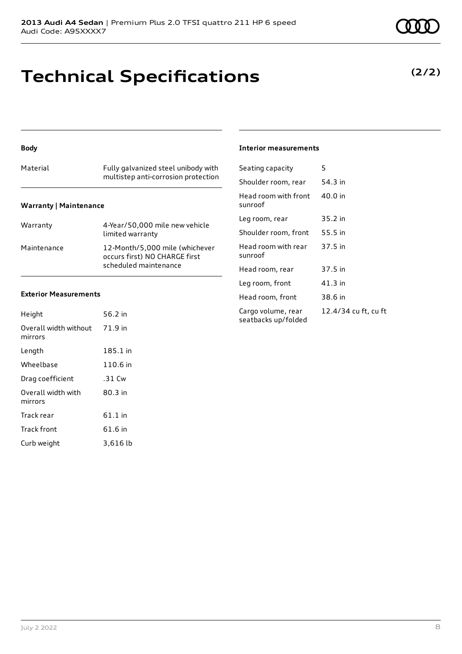### **Technical Specifications**

### **(2/2)**

#### **Body**

### Material Fully galvanized steel unibody with multistep anti-corrosion protection

#### **Warranty | Maintenance**

| Warranty    | 4-Year/50,000 mile new vehicle<br>limited warranty                                       |
|-------------|------------------------------------------------------------------------------------------|
| Maintenance | 12-Month/5,000 mile (whichever<br>occurs first) NO CHARGE first<br>scheduled maintenance |

#### **Exterior Measurements**

| Height                           | 56.2 in   |
|----------------------------------|-----------|
| Overall width without<br>mirrors | 71.9 in   |
| Length                           | 185.1 in  |
| Wheelbase                        | 110.6 in  |
| Drag coefficient                 | .31 Cw    |
| Overall width with<br>mirrors    | $80.3$ in |
| Track rear                       | $61.1$ in |
| <b>Track front</b>               | 61.6 in   |
| Curb weight                      | 3,616 lb  |

#### **Interior measurements**

| Seating capacity                          | 5                    |
|-------------------------------------------|----------------------|
| Shoulder room, rear                       | 54.3 in              |
| Head room with front<br>sunroof           | 40.0 in              |
| Leg room, rear                            | 35.2 in              |
| Shoulder room, front                      | 55.5 in              |
| Head room with rear<br>sunroof            | 37.5 in              |
| Head room, rear                           | 37.5 in              |
| Leg room, front                           | 41.3 in              |
| Head room, front                          | 38.6 in              |
| Cargo volume, rear<br>seatbacks up/folded | 12.4/34 cu ft, cu ft |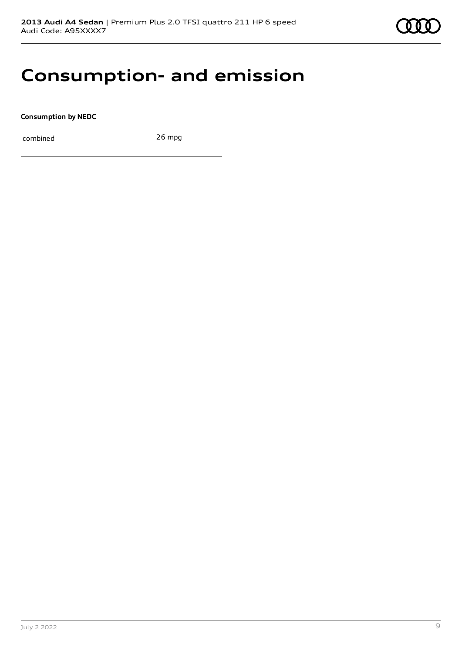

### **Consumption- and emission**

**Consumption by NEDC**

combined 26 mpg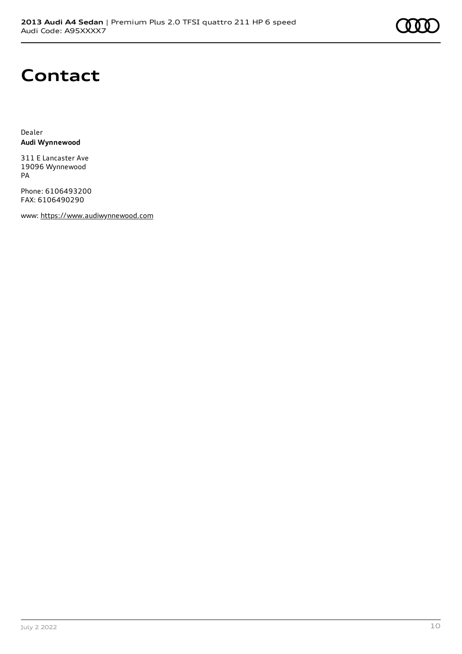

### **Contact**

Dealer **Audi Wynnewood**

311 E Lancaster Ave 19096 Wynnewood PA

Phone: 6106493200 FAX: 6106490290

www: [https://www.audiwynnewood.com](https://www.audiwynnewood.com/)